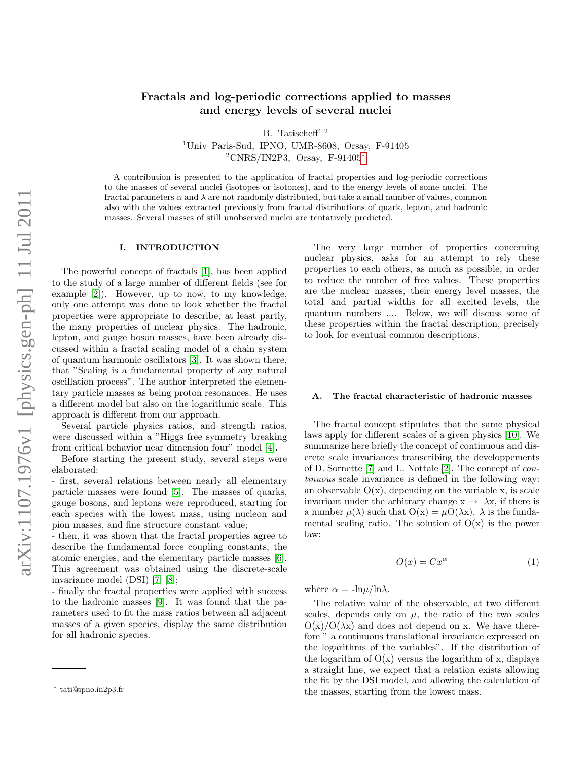# Fractals and log-periodic corrections applied to masses and energy levels of several nuclei

B. Tatischeff<sup>1,2</sup>

<sup>1</sup>Univ Paris-Sud, IPNO, UMR-8608, Orsay, F-91405 <sup>2</sup>CNRS/IN2P3, Orsay, F-91405[∗](#page-0-0)

A contribution is presented to the application of fractal properties and log-periodic corrections to the masses of several nuclei (isotopes or isotones), and to the energy levels of some nuclei. The fractal parameters  $\alpha$  and  $\lambda$  are not randomly distributed, but take a small number of values, common also with the values extracted previously from fractal distributions of quark, lepton, and hadronic masses. Several masses of still unobserved nuclei are tentatively predicted.

### I. INTRODUCTION

The powerful concept of fractals [\[1\]](#page-14-0), has been applied to the study of a large number of different fields (see for example [\[2\]](#page-14-1)). However, up to now, to my knowledge, only one attempt was done to look whether the fractal properties were appropriate to describe, at least partly, the many properties of nuclear physics. The hadronic, lepton, and gauge boson masses, have been already discussed within a fractal scaling model of a chain system of quantum harmonic oscillators [\[3\]](#page-14-2). It was shown there, that "Scaling is a fundamental property of any natural oscillation process". The author interpreted the elementary particle masses as being proton resonances. He uses a different model but also on the logarithmic scale. This approach is different from our approach.

Several particle physics ratios, and strength ratios, were discussed within a "Higgs free symmetry breaking from critical behavior near dimension four" model [\[4\]](#page-14-3).

Before starting the present study, several steps were elaborated:

- first, several relations between nearly all elementary particle masses were found [\[5\]](#page-14-4). The masses of quarks, gauge bosons, and leptons were reproduced, starting for each species with the lowest mass, using nucleon and pion masses, and fine structure constant value;

- then, it was shown that the fractal properties agree to describe the fundamental force coupling constants, the atomic energies, and the elementary particle masses [\[6\]](#page-14-5). This agreement was obtained using the discrete-scale invariance model (DSI) [\[7\]](#page-14-6) [\[8\]](#page-14-7);

- finally the fractal properties were applied with success to the hadronic masses [\[9\]](#page-14-8). It was found that the parameters used to fit the mass ratios between all adjacent masses of a given species, display the same distribution for all hadronic species.

The very large number of properties concerning nuclear physics, asks for an attempt to rely these properties to each others, as much as possible, in order to reduce the number of free values. These properties are the nuclear masses, their energy level masses, the total and partial widths for all excited levels, the quantum numbers .... Below, we will discuss some of these properties within the fractal description, precisely to look for eventual common descriptions.

### A. The fractal characteristic of hadronic masses

The fractal concept stipulates that the same physical laws apply for different scales of a given physics [\[10\]](#page-14-9). We summarize here briefly the concept of continuous and discrete scale invariances transcribing the developpements of D. Sornette [\[7\]](#page-14-6) and L. Nottale [\[2\]](#page-14-1). The concept of continuous scale invariance is defined in the following way: an observable  $O(x)$ , depending on the variable x, is scale invariant under the arbitrary change  $x \to \lambda x$ , if there is a number  $\mu(\lambda)$  such that  $O(x) = \mu O(\lambda x)$ .  $\lambda$  is the fundamental scaling ratio. The solution of  $O(x)$  is the power law:

$$
O(x) = Cx^{\alpha} \tag{1}
$$

where  $\alpha = -\ln \mu / \ln \lambda$ .

The relative value of the observable, at two different scales, depends only on  $\mu$ , the ratio of the two scales  $O(x)/O(\lambda x)$  and does not depend on x. We have therefore " a continuous translational invariance expressed on the logarithms of the variables". If the distribution of the logarithm of  $O(x)$  versus the logarithm of x, displays a straight line, we expect that a relation exists allowing the fit by the DSI model, and allowing the calculation of the masses, starting from the lowest mass.

<span id="page-0-0"></span><sup>∗</sup> tati@ipno.in2p3.fr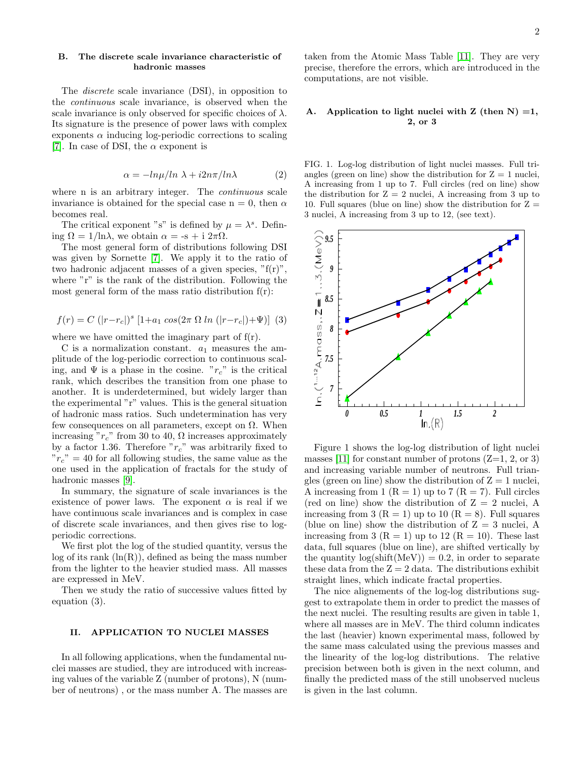## B. The discrete scale invariance characteristic of hadronic masses

The discrete scale invariance (DSI), in opposition to the continuous scale invariance, is observed when the scale invariance is only observed for specific choices of  $\lambda$ . Its signature is the presence of power laws with complex exponents  $\alpha$  inducing log-periodic corrections to scaling [\[7\]](#page-14-6). In case of DSI, the  $\alpha$  exponent is

$$
\alpha = -\ln\mu/\ln\lambda + i2n\pi/\ln\lambda\tag{2}
$$

where n is an arbitrary integer. The *continuous* scale invariance is obtained for the special case  $n = 0$ , then  $\alpha$ becomes real.

The critical exponent "s" is defined by  $\mu = \lambda^s$ . Defining  $\Omega = 1/\ln \lambda$ , we obtain  $\alpha = -s + i 2\pi \Omega$ .

The most general form of distributions following DSI was given by Sornette [\[7\]](#page-14-6). We apply it to the ratio of two hadronic adjacent masses of a given species,  $\mathrm{F}(r)$ ", where "r" is the rank of the distribution. Following the most general form of the mass ratio distribution  $f(r)$ :

$$
f(r) = C (|r - r_c|)^s [1 + a_1 \cos(2\pi \Omega \ln (|r - r_c|) + \Psi)] \tag{3}
$$

where we have omitted the imaginary part of  $f(r)$ .

C is a normalization constant.  $a_1$  measures the amplitude of the log-periodic correction to continuous scaling, and  $\Psi$  is a phase in the cosine. " $r_c$ " is the critical rank, which describes the transition from one phase to another. It is underdetermined, but widely larger than the experimental "r" values. This is the general situation of hadronic mass ratios. Such undetermination has very few consequences on all parameters, except on  $\Omega$ . When increasing " $r_c$ " from 30 to 40,  $\Omega$  increases approximately by a factor 1.36. Therefore " $r_c$ " was arbitrarily fixed to  $"r_c" = 40$  for all following studies, the same value as the one used in the application of fractals for the study of hadronic masses [\[9\]](#page-14-8).

In summary, the signature of scale invariances is the existence of power laws. The exponent  $\alpha$  is real if we have continuous scale invariances and is complex in case of discrete scale invariances, and then gives rise to logperiodic corrections.

We first plot the log of the studied quantity, versus the  $log$  of its rank  $(ln(R))$ , defined as being the mass number from the lighter to the heavier studied mass. All masses are expressed in MeV.

Then we study the ratio of successive values fitted by equation (3).

## II. APPLICATION TO NUCLEI MASSES

In all following applications, when the fundamental nuclei masses are studied, they are introduced with increasing values of the variable Z (number of protons), N (number of neutrons) , or the mass number A. The masses are taken from the Atomic Mass Table [\[11\]](#page-14-10). They are very precise, therefore the errors, which are introduced in the computations, are not visible.

## A. Application to light nuclei with Z (then  $N$ ) =1, 2, or 3

FIG. 1. Log-log distribution of light nuclei masses. Full triangles (green on line) show the distribution for  $Z = 1$  nuclei, A increasing from 1 up to 7. Full circles (red on line) show the distribution for  $Z = 2$  nuclei, A increasing from 3 up to 10. Full squares (blue on line) show the distribution for  $Z =$ 3 nuclei, A increasing from 3 up to 12, (see text).



Figure 1 shows the log-log distribution of light nuclei masses [\[11\]](#page-14-10) for constant number of protons  $(Z=1, 2, \text{or } 3)$ and increasing variable number of neutrons. Full triangles (green on line) show the distribution of  $Z = 1$  nuclei, A increasing from 1 ( $R = 1$ ) up to 7 ( $R = 7$ ). Full circles (red on line) show the distribution of  $Z = 2$  nuclei, A increasing from 3 ( $R = 1$ ) up to 10 ( $R = 8$ ). Full squares (blue on line) show the distribution of  $Z = 3$  nuclei, A increasing from 3 ( $R = 1$ ) up to 12 ( $R = 10$ ). These last data, full squares (blue on line), are shifted vertically by the quantity  $log(shift(MeV)) = 0.2$ , in order to separate these data from the  $Z = 2$  data. The distributions exhibit straight lines, which indicate fractal properties.

The nice alignements of the log-log distributions suggest to extrapolate them in order to predict the masses of the next nuclei. The resulting results are given in table 1, where all masses are in MeV. The third column indicates the last (heavier) known experimental mass, followed by the same mass calculated using the previous masses and the linearity of the log-log distributions. The relative precision between both is given in the next column, and finally the predicted mass of the still unobserved nucleus is given in the last column.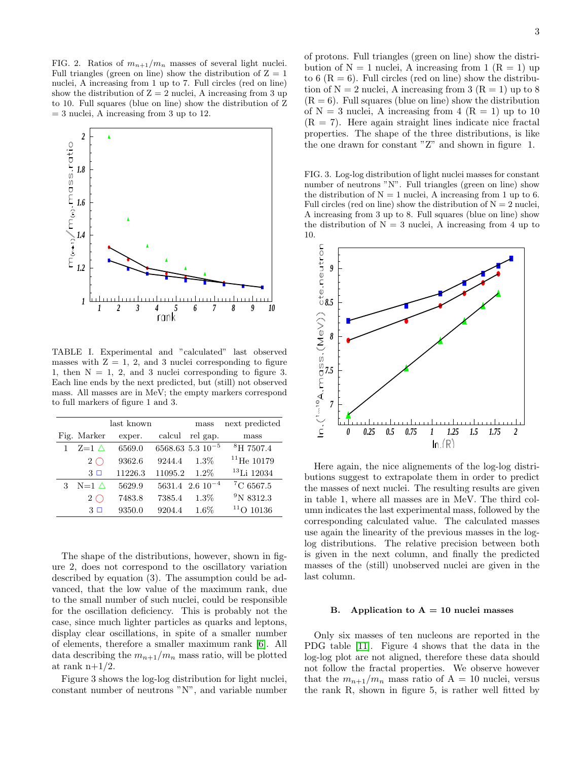FIG. 2. Ratios of  $m_{n+1}/m_n$  masses of several light nuclei. Full triangles (green on line) show the distribution of  $Z = 1$ nuclei, A increasing from 1 up to 7. Full circles (red on line) show the distribution of  $Z = 2$  nuclei, A increasing from 3 up to 10. Full squares (blue on line) show the distribution of Z  $=$  3 nuclei, A increasing from 3 up to 12.



TABLE I. Experimental and "calculated" last observed masses with  $Z = 1, 2,$  and 3 nuclei corresponding to figure 1, then  $N = 1, 2,$  and 3 nuclei corresponding to figure 3. Each line ends by the next predicted, but (still) not observed mass. All masses are in MeV; the empty markers correspond to full markers of figure 1 and 3.

|   |                   | last known |         | mass                     | next predicted        |
|---|-------------------|------------|---------|--------------------------|-----------------------|
|   | Fig. Marker       | exper.     | calcul  | rel gap.                 | mass                  |
|   | $Z=1$ $\triangle$ | 6569.0     |         | $6568.63$ 5.3 $10^{-5}$  | <sup>8</sup> H 7507.4 |
|   | $2\subset$        | 9362.6     | 9244.4  | $1.3\%$                  | $^{11}$ He 10179      |
|   | 3 □               | 11226.3    | 11095.2 | $1.2\%$                  | $13$ Li 12034         |
| 3 | $N=1$ $\wedge$    | 5629.9     |         | $5631.4 \ 2.6 \ 10^{-4}$ | $^7C$ 6567.5          |
|   | $2\subset$        | 7483.8     | 7385.4  | $1.3\%$                  | $^{9}N8312.3$         |
|   | $3\Box$           | 9350.0     | 9204.4  | $1.6\%$                  | 10136                 |

The shape of the distributions, however, shown in figure 2, does not correspond to the oscillatory variation described by equation (3). The assumption could be advanced, that the low value of the maximum rank, due to the small number of such nuclei, could be responsible for the oscillation deficiency. This is probably not the case, since much lighter particles as quarks and leptons, display clear oscillations, in spite of a smaller number of elements, therefore a smaller maximum rank [\[6\]](#page-14-5). All data describing the  $m_{n+1}/m_n$  mass ratio, will be plotted at rank  $n+1/2$ .

Figure 3 shows the log-log distribution for light nuclei, constant number of neutrons "N", and variable number of protons. Full triangles (green on line) show the distribution of  $N = 1$  nuclei, A increasing from 1  $(R = 1)$  up to 6  $(R = 6)$ . Full circles (red on line) show the distribution of  $N = 2$  nuclei, A increasing from 3 ( $R = 1$ ) up to 8  $(R = 6)$ . Full squares (blue on line) show the distribution of  $N = 3$  nuclei, A increasing from  $4 (R = 1)$  up to 10  $(R = 7)$ . Here again straight lines indicate nice fractal properties. The shape of the three distributions, is like the one drawn for constant "Z" and shown in figure 1.

FIG. 3. Log-log distribution of light nuclei masses for constant number of neutrons "N". Full triangles (green on line) show the distribution of  $N = 1$  nuclei, A increasing from 1 up to 6. Full circles (red on line) show the distribution of  $N = 2$  nuclei, A increasing from 3 up to 8. Full squares (blue on line) show the distribution of  $N = 3$  nuclei, A increasing from 4 up to 10.



Here again, the nice alignements of the log-log distributions suggest to extrapolate them in order to predict the masses of next nuclei. The resulting results are given in table 1, where all masses are in MeV. The third column indicates the last experimental mass, followed by the corresponding calculated value. The calculated masses use again the linearity of the previous masses in the loglog distributions. The relative precision between both is given in the next column, and finally the predicted masses of the (still) unobserved nuclei are given in the last column.

#### B. Application to  $A = 10$  nuclei masses

Only six masses of ten nucleons are reported in the PDG table [\[11\]](#page-14-10). Figure 4 shows that the data in the log-log plot are not aligned, therefore these data should not follow the fractal properties. We observe however that the  $m_{n+1}/m_n$  mass ratio of A = 10 nuclei, versus the rank R, shown in figure 5, is rather well fitted by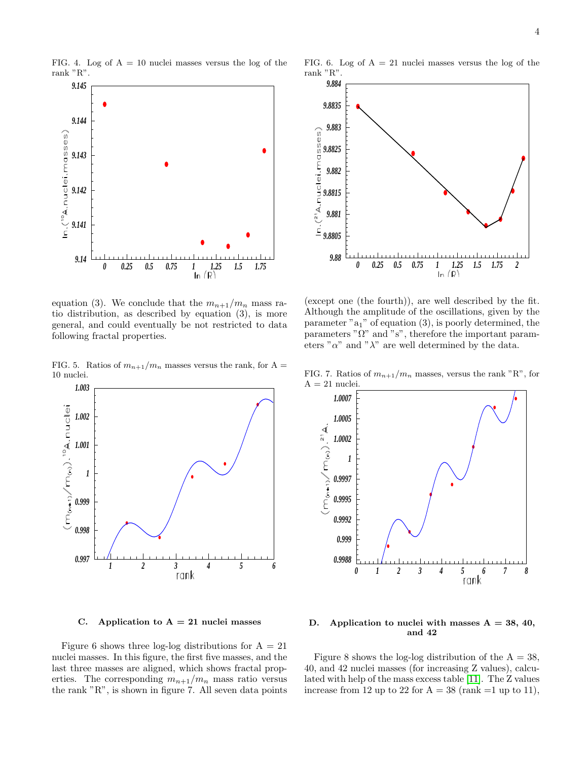FIG. 4. Log of  $A = 10$  nuclei masses versus the log of the rank "R".



equation (3). We conclude that the  $m_{n+1}/m_n$  mass ratio distribution, as described by equation (3), is more general, and could eventually be not restricted to data following fractal properties.

FIG. 5. Ratios of  $m_{n+1}/m_n$  masses versus the rank, for A = 10 nuclei.



C. Application to  $A = 21$  nuclei masses

Figure 6 shows three log-log distributions for  $A = 21$ nuclei masses. In this figure, the first five masses, and the last three masses are aligned, which shows fractal properties. The corresponding  $m_{n+1}/m_n$  mass ratio versus the rank "R", is shown in figure 7. All seven data points

FIG. 6. Log of  $A = 21$  nuclei masses versus the log of the rank "R".



(except one (the fourth)), are well described by the fit. Although the amplitude of the oscillations, given by the parameter " $a_1$ " of equation (3), is poorly determined, the parameters " $\Omega$ " and "s", therefore the important parameters " $\alpha$ " and " $\lambda$ " are well determined by the data.

FIG. 7. Ratios of  $m_{n+1}/m_n$  masses, versus the rank "R", for  $A = 21$  nuclei



D. Application to nuclei with masses  $A = 38, 40,$ and 42

Figure 8 shows the log-log distribution of the  $A = 38$ , 40, and 42 nuclei masses (for increasing Z values), calculated with help of the mass excess table [\[11\]](#page-14-10). The Z values increase from 12 up to 22 for  $A = 38$  (rank =1 up to 11),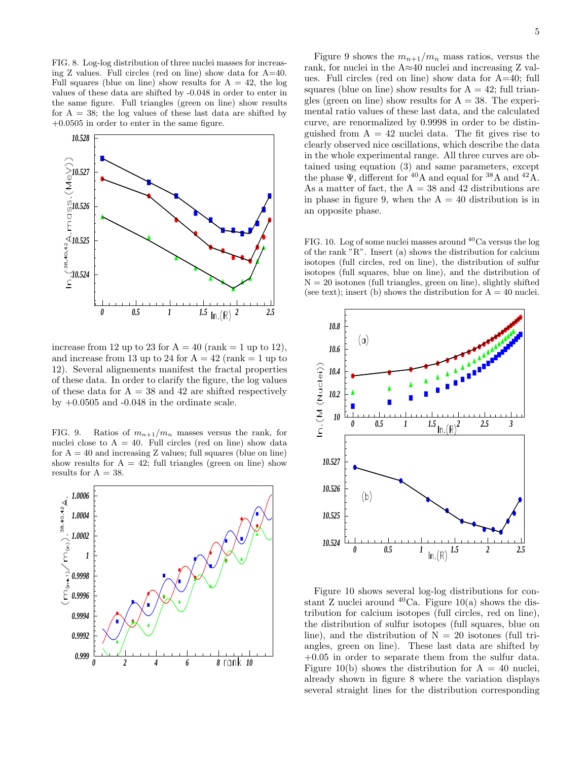FIG. 8. Log-log distribution of three nuclei masses for increasing Z values. Full circles (red on line) show data for A=40. Full squares (blue on line) show results for  $A = 42$ , the log values of these data are shifted by -0.048 in order to enter in the same figure. Full triangles (green on line) show results for  $A = 38$ ; the log values of these last data are shifted by +0.0505 in order to enter in the same figure.



increase from 12 up to 23 for  $A = 40$  (rank = 1 up to 12), and increase from 13 up to 24 for  $A = 42$  (rank  $= 1$  up to 12). Several alignements manifest the fractal properties of these data. In order to clarify the figure, the log values of these data for  $A = 38$  and 42 are shifted respectively by  $+0.0505$  and  $-0.048$  in the ordinate scale.

FIG. 9. Ratios of  $m_{n+1}/m_n$  masses versus the rank, for nuclei close to  $A = 40$ . Full circles (red on line) show data for  $A = 40$  and increasing Z values; full squares (blue on line) show results for  $A = 42$ ; full triangles (green on line) show results for  $A = 38$ .



Figure 9 shows the  $m_{n+1}/m_n$  mass ratios, versus the rank, for nuclei in the A≈40 nuclei and increasing Z values. Full circles (red on line) show data for A=40; full squares (blue on line) show results for  $A = 42$ ; full triangles (green on line) show results for  $A = 38$ . The experimental ratio values of these last data, and the calculated curve, are renormalized by 0.9998 in order to be distinguished from  $A = 42$  nuclei data. The fit gives rise to clearly observed nice oscillations, which describe the data in the whole experimental range. All three curves are obtained using equation (3) and same parameters, except the phase  $\Psi$ , different for <sup>40</sup>A and equal for <sup>38</sup>A and <sup>42</sup>A. As a matter of fact, the  $A = 38$  and 42 distributions are in phase in figure 9, when the  $A = 40$  distribution is in an opposite phase.

FIG. 10. Log of some nuclei masses around  ${}^{40}$ Ca versus the log of the rank "R". Insert (a) shows the distribution for calcium isotopes (full circles, red on line), the distribution of sulfur isotopes (full squares, blue on line), and the distribution of  $N = 20$  isotones (full triangles, green on line), slightly shifted (see text); insert (b) shows the distribution for  $A = 40$  nuclei.



Figure 10 shows several log-log distributions for constant Z nuclei around  ${}^{40}$ Ca. Figure 10(a) shows the distribution for calcium isotopes (full circles, red on line), the distribution of sulfur isotopes (full squares, blue on line), and the distribution of  $N = 20$  isotones (full triangles, green on line). These last data are shifted by  $+0.05$  in order to separate them from the sulfur data. Figure 10(b) shows the distribution for  $A = 40$  nuclei, already shown in figure 8 where the variation displays several straight lines for the distribution corresponding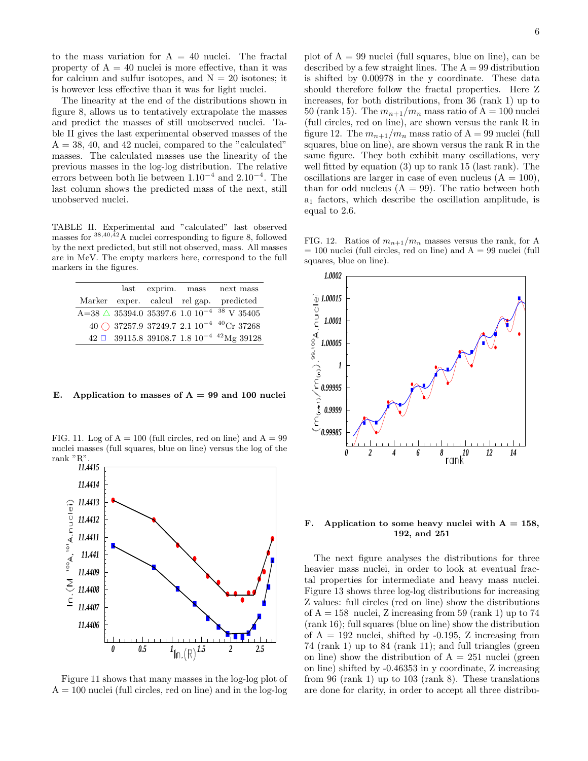to the mass variation for  $A = 40$  nuclei. The fractal property of  $A = 40$  nuclei is more effective, than it was for calcium and sulfur isotopes, and  $N = 20$  isotones; it is however less effective than it was for light nuclei.

The linearity at the end of the distributions shown in figure 8, allows us to tentatively extrapolate the masses and predict the masses of still unobserved nuclei. Table II gives the last experimental observed masses of the  $A = 38, 40, \text{ and } 42 \text{ nuclei, compared to the "calculated"}$ masses. The calculated masses use the linearity of the previous masses in the log-log distribution. The relative errors between both lie between 1.10−<sup>4</sup> and 2.10−<sup>4</sup> . The last column shows the predicted mass of the next, still unobserved nuclei.

TABLE II. Experimental and "calculated" last observed masses for  $38,40,\hat{4}2$  A nuclei corresponding to figure 8, followed by the next predicted, but still not observed, mass. All masses are in MeV. The empty markers here, correspond to the full markers in the figures.

|  |  | last exprim. mass next mass                                          |
|--|--|----------------------------------------------------------------------|
|  |  | Marker exper. calcul rel gap. predicted                              |
|  |  | A=38 $\triangle$ 35394.0 35397.6 1.0 $10^{-4}$ <sup>38</sup> V 35405 |
|  |  | 40 $\bigcirc$ 37257.9 37249.7 2.1 10 <sup>-4 40</sup> Cr 37268       |
|  |  | $42 \Box$ 39115.8 39108.7 1.8 10 <sup>-4 42</sup> Mg 39128           |

### E. Application to masses of  $A = 99$  and 100 nuclei

FIG. 11. Log of  $A = 100$  (full circles, red on line) and  $A = 99$ nuclei masses (full squares, blue on line) versus the log of the rank "R".



Figure 11 shows that many masses in the log-log plot of  $A = 100$  nuclei (full circles, red on line) and in the log-log

plot of  $A = 99$  nuclei (full squares, blue on line), can be described by a few straight lines. The  $A = 99$  distribution is shifted by 0.00978 in the y coordinate. These data should therefore follow the fractal properties. Here Z increases, for both distributions, from 36 (rank 1) up to 50 (rank 15). The  $m_{n+1}/m_n$  mass ratio of A = 100 nuclei (full circles, red on line), are shown versus the rank R in figure 12. The  $m_{n+1}/m_n$  mass ratio of A = 99 nuclei (full squares, blue on line), are shown versus the rank R in the same figure. They both exhibit many oscillations, very well fitted by equation (3) up to rank 15 (last rank). The oscillations are larger in case of even nucleus  $(A = 100)$ , than for odd nucleus  $(A = 99)$ . The ratio between both a<sup>1</sup> factors, which describe the oscillation amplitude, is equal to 2.6.

FIG. 12. Ratios of  $m_{n+1}/m_n$  masses versus the rank, for A  $= 100$  nuclei (full circles, red on line) and  $A = 99$  nuclei (full squares, blue on line).



F. Application to some heavy nuclei with  $A = 158$ , 192, and 251

The next figure analyses the distributions for three heavier mass nuclei, in order to look at eventual fractal properties for intermediate and heavy mass nuclei. Figure 13 shows three log-log distributions for increasing Z values: full circles (red on line) show the distributions of  $A = 158$  nuclei, Z increasing from 59 (rank 1) up to 74 (rank 16); full squares (blue on line) show the distribution of  $A = 192$  nuclei, shifted by  $-0.195$ , Z increasing from 74 (rank 1) up to 84 (rank 11); and full triangles (green on line) show the distribution of  $A = 251$  nuclei (green on line) shifted by -0.46353 in y coordinate, Z increasing from 96 (rank 1) up to 103 (rank 8). These translations are done for clarity, in order to accept all three distribu-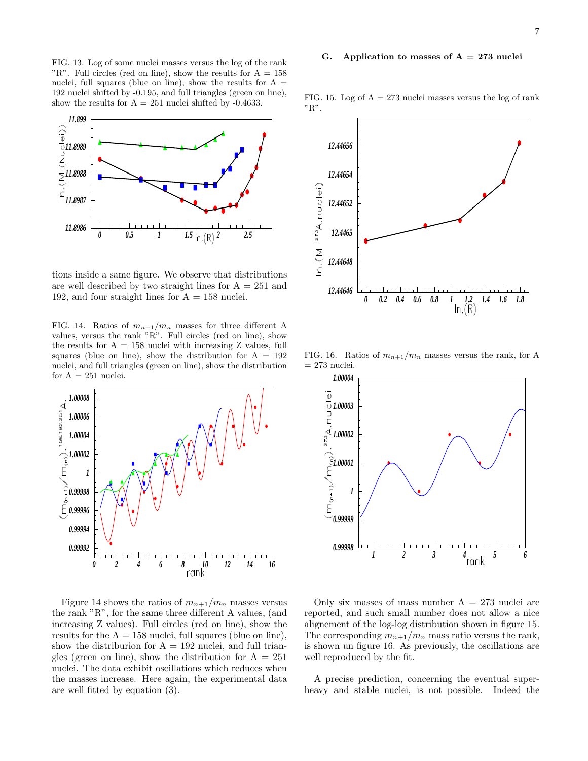### G. Application to masses of  $A = 273$  nuclei

FIG. 13. Log of some nuclei masses versus the log of the rank "R". Full circles (red on line), show the results for  $A = 158$ nuclei, full squares (blue on line), show the results for  $A =$ 192 nuclei shifted by -0.195, and full triangles (green on line), show the results for  $A = 251$  nuclei shifted by -0.4633.



tions inside a same figure. We observe that distributions are well described by two straight lines for  $A = 251$  and 192, and four straight lines for  $A = 158$  nuclei.

FIG. 14. Ratios of  $m_{n+1}/m_n$  masses for three different A values, versus the rank "R". Full circles (red on line), show the results for  $A = 158$  nuclei with increasing Z values, full squares (blue on line), show the distribution for  $A = 192$ nuclei, and full triangles (green on line), show the distribution for  $A = 251$  nuclei.



Figure 14 shows the ratios of  $m_{n+1}/m_n$  masses versus the rank "R", for the same three different A values, (and increasing Z values). Full circles (red on line), show the results for the  $A = 158$  nuclei, full squares (blue on line), show the distriburion for  $A = 192$  nuclei, and full triangles (green on line), show the distribution for  $A = 251$ nuclei. The data exhibit oscillations which reduces when the masses increase. Here again, the experimental data are well fitted by equation (3).

*12.44656 12.44654* In.(M <sup>273</sup>A.nuclei) *12.44652 12.4465 12.44648 12.44646 0 0.2 0.4 0.6 0.8 1 1.2 1.4 1.6 1.8*

FIG. 16. Ratios of  $m_{n+1}/m_n$  masses versus the rank, for A  $= 273$  nuclei.



Only six masses of mass number  $A = 273$  nuclei are reported, and such small number does not allow a nice alignement of the log-log distribution shown in figure 15. The corresponding  $m_{n+1}/m_n$  mass ratio versus the rank, is shown un figure 16. As previously, the oscillations are well reproduced by the fit.

A precise prediction, concerning the eventual superheavy and stable nuclei, is not possible. Indeed the

FIG. 15. Log of  $A = 273$  nuclei masses versus the log of rank "R".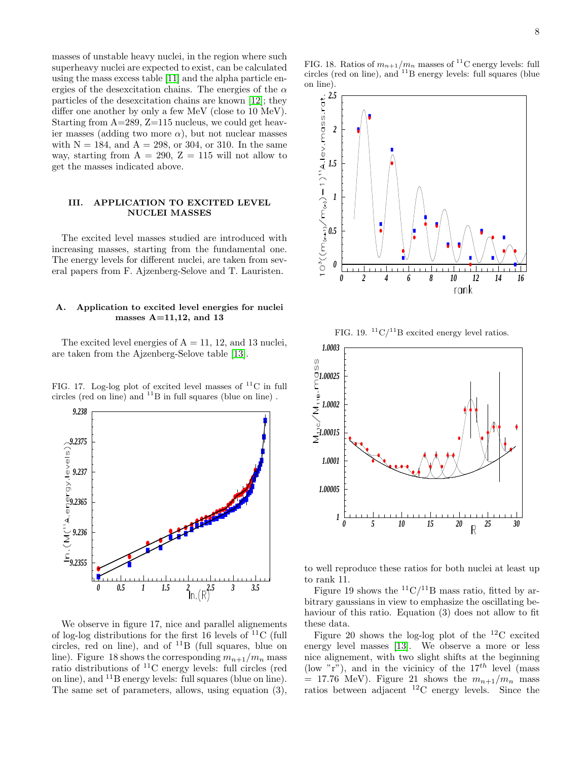masses of unstable heavy nuclei, in the region where such superheavy nuclei are expected to exist, can be calculated using the mass excess table [\[11\]](#page-14-10) and the alpha particle energies of the desexcitation chains. The energies of the  $\alpha$ particles of the desexcitation chains are known [\[12\]](#page-14-11); they differ one another by only a few MeV (close to 10 MeV). Starting from A=289, Z=115 nucleus, we could get heavier masses (adding two more  $\alpha$ ), but not nuclear masses with  $N = 184$ , and  $A = 298$ , or 304, or 310. In the same way, starting from  $A = 290$ ,  $Z = 115$  will not allow to get the masses indicated above.

### III. APPLICATION TO EXCITED LEVEL NUCLEI MASSES

The excited level masses studied are introduced with increasing masses, starting from the fundamental one. The energy levels for different nuclei, are taken from several papers from F. Ajzenberg-Selove and T. Lauristen.

## A. Application to excited level energies for nuclei masses  $A=11,12$ , and 13

The excited level energies of  $A = 11, 12,$  and 13 nuclei, are taken from the Ajzenberg-Selove table [\[13\]](#page-14-12).

FIG. 17. Log-log plot of excited level masses of  ${}^{11}C$  in full circles (red on line) and  $^{11}B$  in full squares (blue on line).



We observe in figure 17, nice and parallel alignements of log-log distributions for the first 16 levels of  $^{11}C$  (full circles, red on line), and of  $^{11}B$  (full squares, blue on line). Figure 18 shows the corresponding  $m_{n+1}/m_n$  mass ratio distributions of <sup>11</sup>C energy levels: full circles (red on line), and <sup>11</sup>B energy levels: full squares (blue on line). The same set of parameters, allows, using equation (3),

FIG. 18. Ratios of  $m_{n+1}/m_n$  masses of <sup>11</sup>C energy levels: full circles (red on line), and  $^{11}$ B energy levels: full squares (blue on line).



FIG. 19.  ${}^{11}$ C/<sup>11</sup>B excited energy level ratios.



to well reproduce these ratios for both nuclei at least up to rank 11.

Figure 19 shows the  ${}^{11}C/{}^{11}B$  mass ratio, fitted by arbitrary gaussians in view to emphasize the oscillating behaviour of this ratio. Equation (3) does not allow to fit these data.

Figure 20 shows the log-log plot of the  $^{12}$ C excited energy level masses [\[13\]](#page-14-12). We observe a more or less nice alignement, with two slight shifts at the beginning (low "r"), and in the vicinicy of the  $17^{th}$  level (mass)  $= 17.76$  MeV). Figure 21 shows the  $m_{n+1}/m_n$  mass ratios between adjacent  $^{12}$ C energy levels. Since the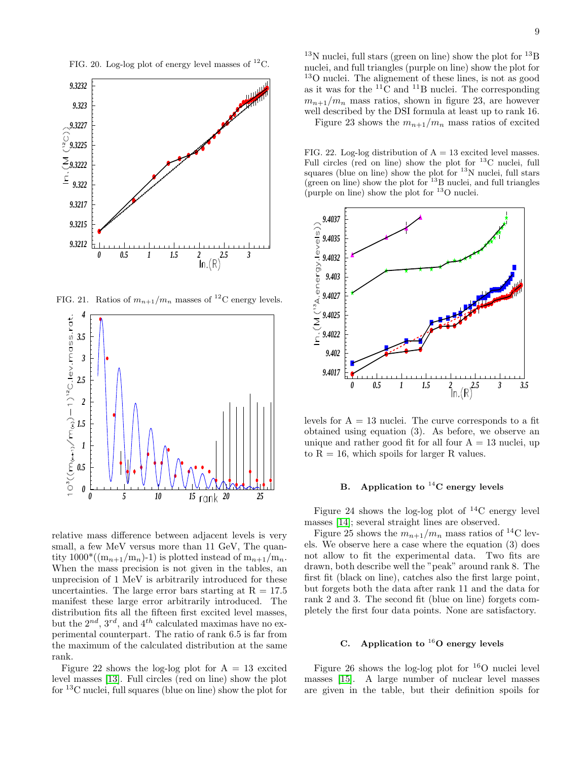FIG. 20. Log-log plot of energy level masses of  ${}^{12}$ C.



FIG. 21. Ratios of  $m_{n+1}/m_n$  masses of <sup>12</sup>C energy levels.



relative mass difference between adjacent levels is very small, a few MeV versus more than 11 GeV, The quantity  $1000^*((m_{n+1}/m_n)-1)$  is plotted instead of  $m_{n+1}/m_n$ . When the mass precision is not given in the tables, an unprecision of 1 MeV is arbitrarily introduced for these uncertainties. The large error bars starting at  $R = 17.5$ manifest these large error arbitrarily introduced. The distribution fits all the fifteen first excited level masses, but the  $2^{nd}$ ,  $3^{rd}$ , and  $4^{th}$  calculated maximas have no experimental counterpart. The ratio of rank 6.5 is far from the maximum of the calculated distribution at the same rank.

Figure 22 shows the log-log plot for  $A = 13$  excited level masses [\[13\]](#page-14-12). Full circles (red on line) show the plot for <sup>13</sup>C nuclei, full squares (blue on line) show the plot for

 $13N$  nuclei, full stars (green on line) show the plot for  $13B$ nuclei, and full triangles (purple on line) show the plot for <sup>13</sup>O nuclei. The alignement of these lines, is not as good as it was for the  ${}^{11}$ C and  ${}^{11}$ B nuclei. The corresponding  $m_{n+1}/m_n$  mass ratios, shown in figure 23, are however well described by the DSI formula at least up to rank 16.

Figure 23 shows the  $m_{n+1}/m_n$  mass ratios of excited

FIG. 22. Log-log distribution of  $A = 13$  excited level masses. Full circles (red on line) show the plot for  $^{13}$ C nuclei, full squares (blue on line) show the plot for  $13$ N nuclei, full stars (green on line) show the plot for  $^{13}$ B nuclei, and full triangles (purple on line) show the plot for  $^{13}$ O nuclei.



levels for  $A = 13$  nuclei. The curve corresponds to a fit obtained using equation (3). As before, we observe an unique and rather good fit for all four  $A = 13$  nuclei, up to  $R = 16$ , which spoils for larger R values.

# B. Application to  $^{14}$ C energy levels

Figure 24 shows the log-log plot of  $^{14}$ C energy level masses [\[14\]](#page-14-13); several straight lines are observed.

Figure 25 shows the  $m_{n+1}/m_n$  mass ratios of <sup>14</sup>C levels. We observe here a case where the equation (3) does not allow to fit the experimental data. Two fits are drawn, both describe well the "peak" around rank 8. The first fit (black on line), catches also the first large point, but forgets both the data after rank 11 and the data for rank 2 and 3. The second fit (blue on line) forgets completely the first four data points. None are satisfactory.

# C. Application to  $^{16}$ O energy levels

Figure 26 shows the log-log plot for  $16$ O nuclei level masses [\[15\]](#page-14-14). A large number of nuclear level masses are given in the table, but their definition spoils for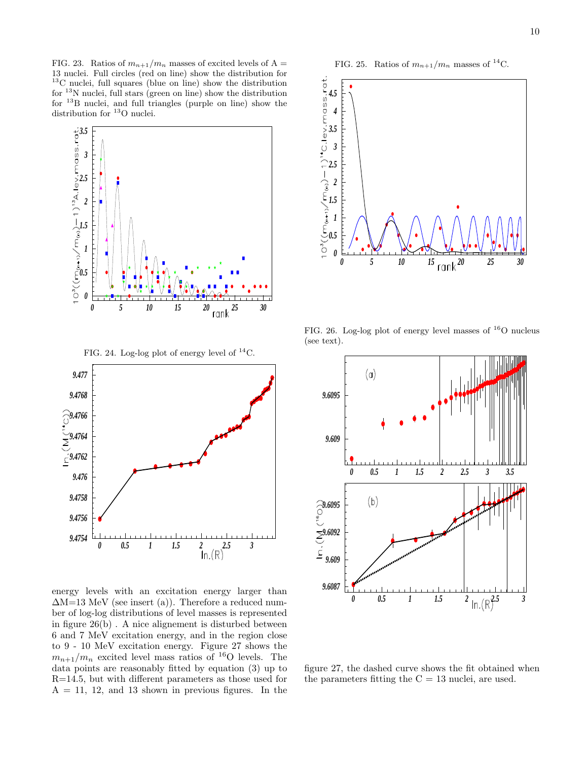FIG. 23. Ratios of  $m_{n+1}/m_n$  masses of excited levels of A = 13 nuclei. Full circles (red on line) show the distribution for  $^{13}\mathrm{C}$  nuclei, full squares (blue on line) show the distribution for  $^{13}$ N nuclei, full stars (green on line) show the distribution for <sup>13</sup>B nuclei, and full triangles (purple on line) show the distribution for <sup>13</sup>O nuclei.





energy levels with an excitation energy larger than  $\Delta M=13$  MeV (see insert (a)). Therefore a reduced number of log-log distributions of level masses is represented in figure 26(b) . A nice alignement is disturbed between 6 and 7 MeV excitation energy, and in the region close to 9 - 10 MeV excitation energy. Figure 27 shows the  $m_{n+1}/m_n$  excited level mass ratios of <sup>16</sup>O levels. The data points are reasonably fitted by equation (3) up to R=14.5, but with different parameters as those used for  $A = 11, 12, and 13$  shown in previous figures. In the





FIG. 26. Log-log plot of energy level masses of <sup>16</sup>O nucleus (see text).



figure 27, the dashed curve shows the fit obtained when the parameters fitting the  $C = 13$  nuclei, are used.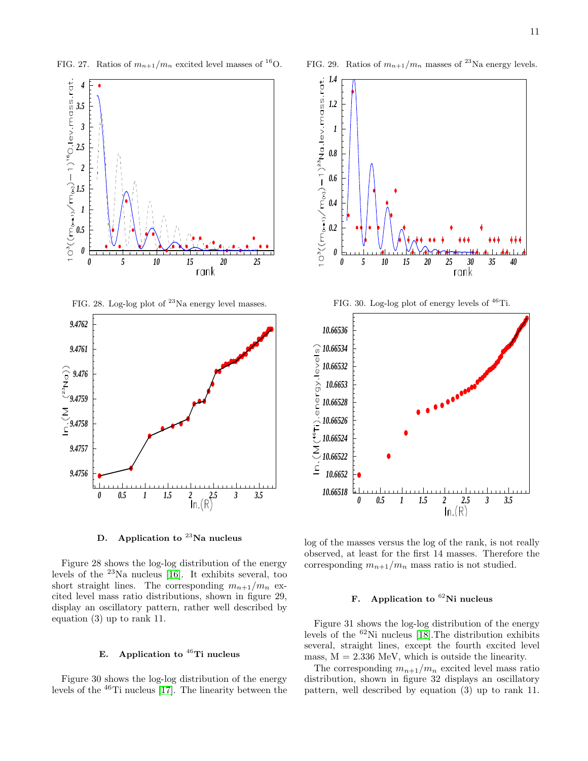FIG. 27. Ratios of  $m_{n+1}/m_n$  excited level masses of <sup>16</sup>O.







D. Application to  $^{23}$ Na nucleus

Figure 28 shows the log-log distribution of the energy levels of the <sup>23</sup>Na nucleus [\[16\]](#page-14-15). It exhibits several, too short straight lines. The corresponding  $m_{n+1}/m_n$  excited level mass ratio distributions, shown in figure 29, display an oscillatory pattern, rather well described by equation (3) up to rank 11.

# E. Application to  $^{46}$ Ti nucleus

Figure 30 shows the log-log distribution of the energy levels of the  $^{46}$ Ti nucleus [\[17\]](#page-14-16). The linearity between the

FIG. 29. Ratios of  $m_{n+1}/m_n$  masses of <sup>23</sup>Na energy levels.



log of the masses versus the log of the rank, is not really observed, at least for the first 14 masses. Therefore the corresponding  $m_{n+1}/m_n$  mass ratio is not studied.

*0 0.5 1 1.5 2 2.5 3 3.5*

*10.66518 10.6652 10.66522*

# F. Application to  ${}^{62}$ Ni nucleus

Figure 31 shows the log-log distribution of the energy levels of the <sup>62</sup>Ni nucleus [\[18\]](#page-14-17).The distribution exhibits several, straight lines, except the fourth excited level mass,  $M = 2.336$  MeV, which is outside the linearity.

The corresponding  $m_{n+1}/m_n$  excited level mass ratio distribution, shown in figure 32 displays an oscillatory pattern, well described by equation (3) up to rank 11.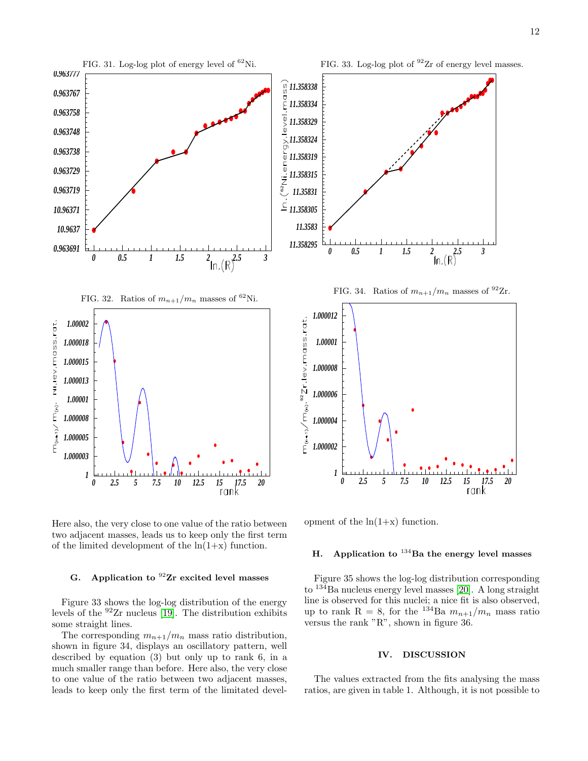

Here also, the very close to one value of the ratio between two adjacent masses, leads us to keep only the first term of the limited development of the  $ln(1+x)$  function.

## G. Application to  $92$ Ir excited level masses

Figure 33 shows the log-log distribution of the energy levels of the  $92$ Ir nucleus [\[19\]](#page-14-18). The distribution exhibits some straight lines.

The corresponding  $m_{n+1}/m_n$  mass ratio distribution, shown in figure 34, displays an oscillatory pattern, well described by equation (3) but only up to rank 6, in a much smaller range than before. Here also, the very close to one value of the ratio between two adjacent masses, leads to keep only the first term of the limitated development of the  $ln(1+x)$  function.

## H. Application to  $^{134}$ Ba the energy level masses

Figure 35 shows the log-log distribution corresponding to <sup>134</sup>Ba nucleus energy level masses [\[20\]](#page-14-19). A long straight line is observed for this nuclei; a nice fit is also observed, up to rank R = 8, for the <sup>134</sup>Ba  $m_{n+1}/m_n$  mass ratio versus the rank "R", shown in figure 36.

## IV. DISCUSSION

The values extracted from the fits analysing the mass ratios, are given in table 1. Although, it is not possible to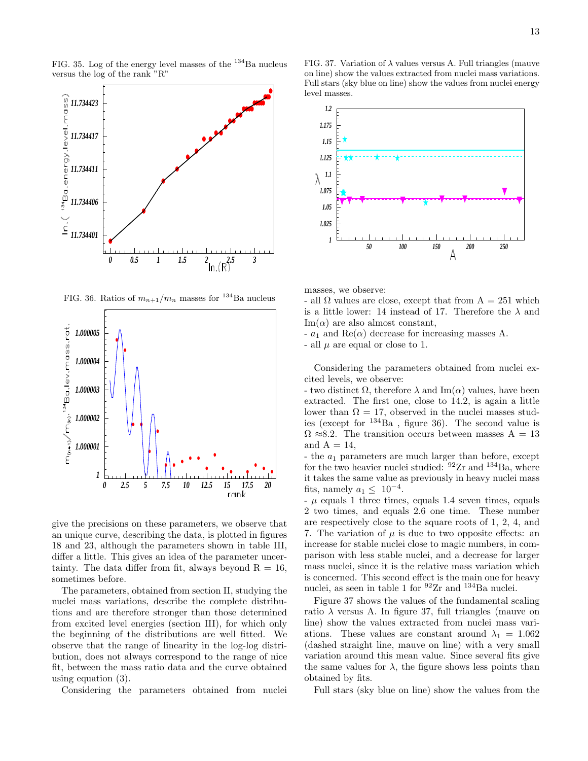FIG. 35. Log of the energy level masses of the  $134$ Ba nucleus versus the log of the rank "R"



FIG. 36. Ratios of  $m_{n+1}/m_n$  masses for <sup>134</sup>Ba nucleus



give the precisions on these parameters, we observe that an unique curve, describing the data, is plotted in figures 18 and 23, although the parameters shown in table III, differ a little. This gives an idea of the parameter uncertainty. The data differ from fit, always beyond  $R = 16$ , sometimes before.

The parameters, obtained from section II, studying the nuclei mass variations, describe the complete distributions and are therefore stronger than those determined from excited level energies (section III), for which only the beginning of the distributions are well fitted. We observe that the range of linearity in the log-log distribution, does not always correspond to the range of nice fit, between the mass ratio data and the curve obtained using equation (3).

Considering the parameters obtained from nuclei

FIG. 37. Variation of  $\lambda$  values versus A. Full triangles (mauve on line) show the values extracted from nuclei mass variations. Full stars (sky blue on line) show the values from nuclei energy level masses.



masses, we observe:

- all  $\Omega$  values are close, except that from  $A = 251$  which is a little lower: 14 instead of 17. Therefore the  $\lambda$  and  $\text{Im}(\alpha)$  are also almost constant,

 $-a_1$  and  $\text{Re}(\alpha)$  decrease for increasing masses A.

- all  $\mu$  are equal or close to 1.

Considering the parameters obtained from nuclei excited levels, we observe:

- two distinct  $\Omega$ , therefore  $\lambda$  and Im( $\alpha$ ) values, have been extracted. The first one, close to 14.2, is again a little lower than  $\Omega = 17$ , observed in the nuclei masses studies (except for  $^{134}Ba$ , figure 36). The second value is  $\Omega \approx 8.2$ . The transition occurs between masses A = 13 and  $A = 14$ ,

 $-$  the  $a_1$  parameters are much larger than before, except for the two heavier nuclei studied:  $92Zr$  and  $134Ba$ , where it takes the same value as previously in heavy nuclei mass fits, namely  $a_1 \leq 10^{-4}$ .

 $-\mu$  equals 1 three times, equals 1.4 seven times, equals 2 two times, and equals 2.6 one time. These number are respectively close to the square roots of 1, 2, 4, and 7. The variation of  $\mu$  is due to two opposite effects: an increase for stable nuclei close to magic numbers, in comparison with less stable nuclei, and a decrease for larger mass nuclei, since it is the relative mass variation which is concerned. This second effect is the main one for heavy nuclei, as seen in table 1 for  $92Zr$  and  $134Ba$  nuclei.

Figure 37 shows the values of the fundamental scaling ratio  $\lambda$  versus A. In figure 37, full triangles (mauve on line) show the values extracted from nuclei mass variations. These values are constant around  $\lambda_1 = 1.062$ (dashed straight line, mauve on line) with a very small variation around this mean value. Since several fits give the same values for  $\lambda$ , the figure shows less points than obtained by fits.

Full stars (sky blue on line) show the values from the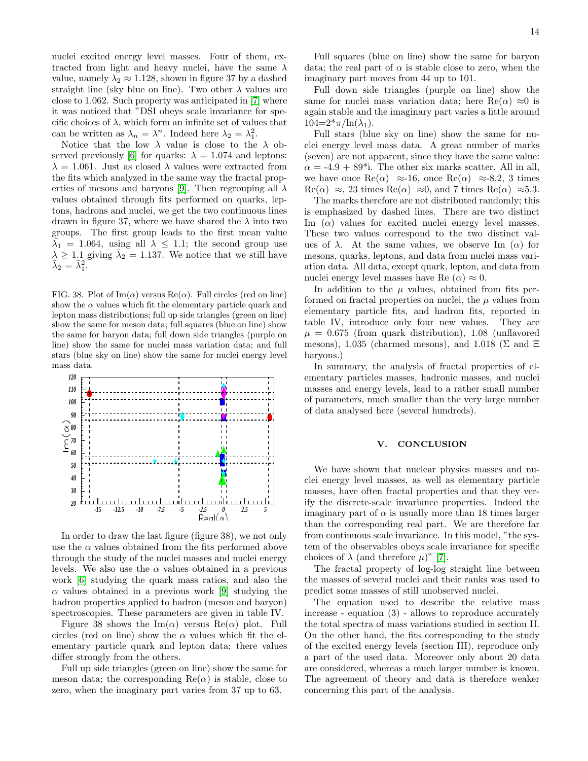nuclei excited energy level masses. Four of them, extracted from light and heavy nuclei, have the same  $\lambda$ value, namely  $\lambda_2 \approx 1.128$ , shown in figure 37 by a dashed straight line (sky blue on line). Two other  $\lambda$  values are close to 1.062. Such property was anticipated in [\[7\]](#page-14-6) where it was noticed that "DSI obeys scale invariance for specific choices of  $\lambda$ , which form an infinite set of values that can be written as  $\lambda_n = \lambda^n$ . Indeed here  $\lambda_2 = \lambda_1^2$ .

Notice that the low  $\lambda$  value is close to the  $\lambda$  ob-served previously [\[6\]](#page-14-5) for quarks:  $\lambda = 1.074$  and leptons:  $\lambda = 1.061$ . Just as closed  $\lambda$  values were extracted from the fits which analyzed in the same way the fractal prop-erties of mesons and baryons [\[9\]](#page-14-8). Then regrouping all  $\lambda$ values obtained through fits performed on quarks, leptons, hadrons and nuclei, we get the two continuous lines drawn in figure 37, where we have shared the  $\lambda$  into two groups. The first group leads to the first mean value  $\overline{\lambda}_1$  = 1.064, using all  $\lambda \leq 1.1$ ; the second group use  $\lambda \geq 1.1$  giving  $\overline{\lambda}_2 = 1.137$ . We notice that we still have  $\bar{\lambda}_2 = \bar{\lambda}_1^2.$ 

FIG. 38. Plot of Im( $\alpha$ ) versus Re( $\alpha$ ). Full circles (red on line) show the  $\alpha$  values which fit the elementary particle quark and lepton mass distributions; full up side triangles (green on line) show the same for meson data; full squares (blue on line) show the same for baryon data; full down side triangles (purple on line) show the same for nuclei mass variation data; and full stars (blue sky on line) show the same for nuclei energy level mass data.



In order to draw the last figure (figure 38), we not only use the  $\alpha$  values obtained from the fits performed above through the study of the nuclei masses and nuclei energy levels. We also use the  $\alpha$  values obtained in a previous work [\[6\]](#page-14-5) studying the quark mass ratios, and also the  $\alpha$  values obtained in a previous work [\[9\]](#page-14-8) studying the hadron properties applied to hadron (meson and baryon) spectroscopies. These parameters are given in table IV.

Figure 38 shows the  $\text{Im}(\alpha)$  versus  $\text{Re}(\alpha)$  plot. Full circles (red on line) show the  $\alpha$  values which fit the elementary particle quark and lepton data; there values differ strongly from the others.

Full up side triangles (green on line) show the same for meson data; the corresponding  $\text{Re}(\alpha)$  is stable, close to zero, when the imaginary part varies from 37 up to 63.

Full squares (blue on line) show the same for baryon data; the real part of  $\alpha$  is stable close to zero, when the imaginary part moves from 44 up to 101.

Full down side triangles (purple on line) show the same for nuclei mass variation data; here  $\text{Re}(\alpha) \approx 0$  is again stable and the imaginary part varies a little around  $104=2*\pi/\ln(\bar{\lambda}_1)$ .

Full stars (blue sky on line) show the same for nuclei energy level mass data. A great number of marks (seven) are not apparent, since they have the same value:  $\alpha = -4.9 + 89$ <sup>\*</sup>i. The other six marks scatter. All in all, we have once  $\text{Re}(\alpha) \approx 16$ , once  $\text{Re}(\alpha) \approx 8.2$ , 3 times  $\text{Re}(\alpha) \approx 23 \text{ times } \text{Re}(\alpha) \approx 0, \text{ and } 7 \text{ times } \text{Re}(\alpha) \approx 5.3.$ 

The marks therefore are not distributed randomly; this is emphasized by dashed lines. There are two distinct Im  $(\alpha)$  values for excited nuclei energy level masses. These two values correspond to the two distinct values of  $\lambda$ . At the same values, we observe Im  $(\alpha)$  for mesons, quarks, leptons, and data from nuclei mass variation data. All data, except quark, lepton, and data from nuclei energy level masses have Re  $(\alpha) \approx 0$ .

In addition to the  $\mu$  values, obtained from fits performed on fractal properties on nuclei, the  $\mu$  values from elementary particle fits, and hadron fits, reported in table IV, introduce only four new values. They are  $\mu = 0.675$  (from quark distribution), 1.08 (unflavored mesons), 1.035 (charmed mesons), and 1.018 (Σ and  $\Xi$ baryons.)

In summary, the analysis of fractal properties of elementary particles masses, hadronic masses, and nuclei masses and energy levels, lead to a rather small number of parameters, much smaller than the very large number of data analysed here (several hundreds).

### V. CONCLUSION

We have shown that nuclear physics masses and nuclei energy level masses, as well as elementary particle masses, have often fractal properties and that they verify the discrete-scale invariance properties. Indeed the imaginary part of  $\alpha$  is usually more than 18 times larger than the corresponding real part. We are therefore far from continuous scale invariance. In this model, "the system of the observables obeys scale invariance for specific choices of  $\lambda$  (and therefore  $\mu$ )" [\[7\]](#page-14-6).

The fractal property of log-log straight line between the masses of several nuclei and their ranks was used to predict some masses of still unobserved nuclei.

The equation used to describe the relative mass increase - equation (3) - allows to reproduce accurately the total spectra of mass variations studied in section II. On the other hand, the fits corresponding to the study of the excited energy levels (section III), reproduce only a part of the used data. Moreover only about 20 data are considered, whereas a much larger number is known. The agreement of theory and data is therefore weaker concerning this part of the analysis.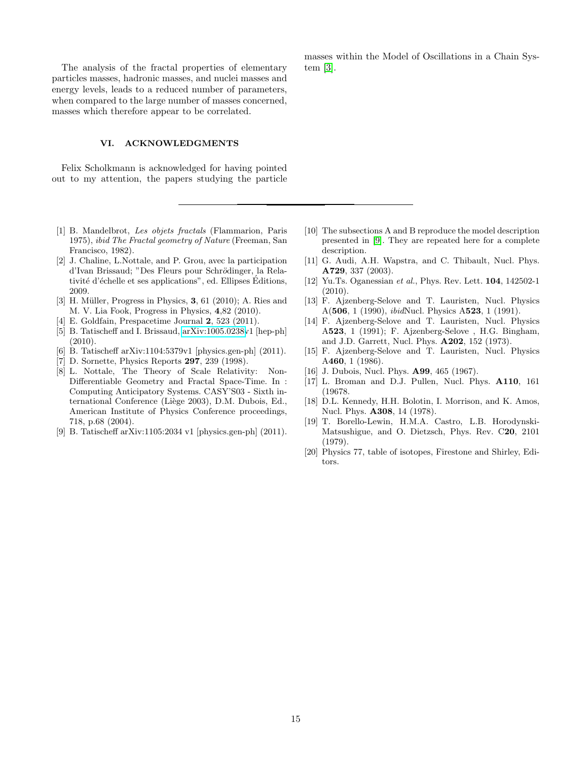The analysis of the fractal properties of elementary particles masses, hadronic masses, and nuclei masses and energy levels, leads to a reduced number of parameters, when compared to the large number of masses concerned, masses which therefore appear to be correlated.

## VI. ACKNOWLEDGMENTS

Felix Scholkmann is acknowledged for having pointed out to my attention, the papers studying the particle

- <span id="page-14-0"></span>[1] B. Mandelbrot, Les objets fractals (Flammarion, Paris 1975), ibid The Fractal geometry of Nature (Freeman, San Francisco, 1982).
- <span id="page-14-1"></span>[2] J. Chaline, L.Nottale, and P. Grou, avec la participation d'Ivan Brissaud; "Des Fleurs pour Schrödinger, la Relativité d'échelle et ses applications", ed. Ellipses Editions, 2009.
- <span id="page-14-2"></span>[3] H. Müller, Progress in Physics,  $3, 61$  (2010); A. Ries and M. V. Lia Fook, Progress in Physics, 4,82 (2010).
- <span id="page-14-3"></span>[4] E. Goldfain, Prespacetime Journal 2, 523 (2011).
- <span id="page-14-4"></span>[5] B. Tatischeff and I. Brissaud, [arXiv:1005.0238v](http://arxiv.org/abs/1005.0238)1 [hep-ph] (2010).
- <span id="page-14-5"></span>[6] B. Tatischeff arXiv:1104:5379v1 [physics.gen-ph] (2011).
- <span id="page-14-6"></span>[7] D. Sornette, Physics Reports 297, 239 (1998).
- <span id="page-14-7"></span>[8] L. Nottale, The Theory of Scale Relativity: Non-Differentiable Geometry and Fractal Space-Time. In : Computing Anticipatory Systems. CASY'S03 - Sixth international Conference (Liège 2003), D.M. Dubois, Ed., American Institute of Physics Conference proceedings, 718, p.68 (2004).
- <span id="page-14-8"></span>[9] B. Tatischeff arXiv:1105:2034 v1 [physics.gen-ph] (2011).

masses within the Model of Oscillations in a Chain System [\[3\]](#page-14-2).

- <span id="page-14-9"></span>[10] The subsections A and B reproduce the model description presented in [\[9\]](#page-14-8). They are repeated here for a complete description.
- <span id="page-14-10"></span>[11] G. Audi, A.H. Wapstra, and C. Thibault, Nucl. Phys. A729, 337 (2003).
- <span id="page-14-11"></span>[12] Yu.Ts. Oganessian et al., Phys. Rev. Lett. 104, 142502-1 (2010).
- <span id="page-14-12"></span>[13] F. Ajzenberg-Selove and T. Lauristen, Nucl. Physics A(506, 1 (1990), ibidNucl. Physics A523, 1 (1991).
- <span id="page-14-13"></span>[14] F. Ajzenberg-Selove and T. Lauristen, Nucl. Physics A523, 1 (1991); F. Ajzenberg-Selove , H.G. Bingham, and J.D. Garrett, Nucl. Phys. A202, 152 (1973).
- <span id="page-14-14"></span>[15] F. Ajzenberg-Selove and T. Lauristen, Nucl. Physics A460, 1 (1986).
- <span id="page-14-15"></span>[16] J. Dubois, Nucl. Phys. **A99**, 465 (1967).
- <span id="page-14-16"></span>[17] L. Broman and D.J. Pullen, Nucl. Phys. A110, 161 (19678.
- <span id="page-14-17"></span>[18] D.L. Kennedy, H.H. Bolotin, I. Morrison, and K. Amos, Nucl. Phys. A308, 14 (1978).
- <span id="page-14-18"></span>[19] T. Borello-Lewin, H.M.A. Castro, L.B. Horodynski-Matsushigue, and O. Dietzsch, Phys. Rev. C20, 2101 (1979).
- <span id="page-14-19"></span>[20] Physics 77, table of isotopes, Firestone and Shirley, Editors.